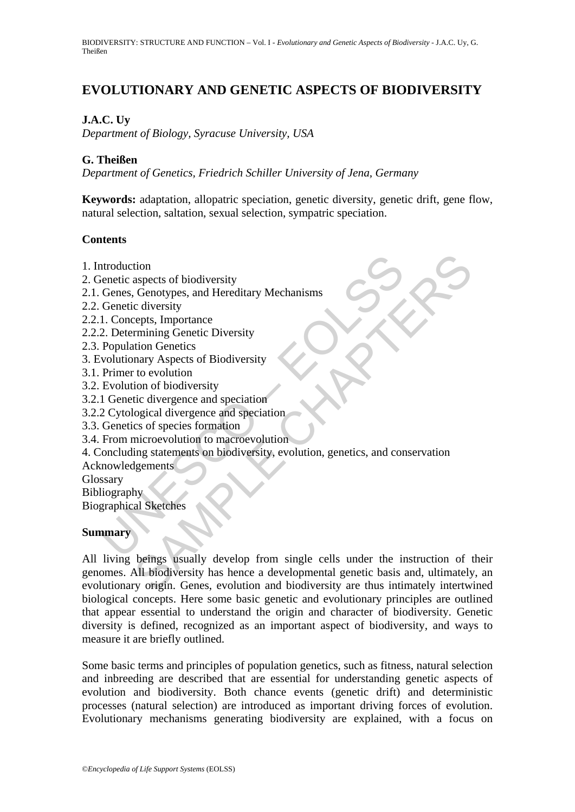# **EVOLUTIONARY AND GENETIC ASPECTS OF BIODIVERSITY**

### **J.A.C. Uy**

*Department of Biology, Syracuse University, USA* 

#### **G. Theißen**

*Department of Genetics, Friedrich Schiller University of Jena, Germany*

**Keywords:** adaptation, allopatric speciation, genetic diversity, genetic drift, gene flow, natural selection, saltation, sexual selection, sympatric speciation.

#### **Contents**

- 1. Introduction
- 2. Genetic aspects of biodiversity
- 2.1. Genes, Genotypes, and Hereditary Mechanisms
- 2.2. Genetic diversity
- 2.2.1. Concepts, Importance
- 2.2.2. Determining Genetic Diversity
- 2.3. Population Genetics
- 3. Evolutionary Aspects of Biodiversity
- 3.1. Primer to evolution
- 3.2. Evolution of biodiversity
- 3.2.1 Genetic divergence and speciation
- 3.2.2 Cytological divergence and speciation
- 3.3. Genetics of species formation
- 3.4. From microevolution to macroevolution
- ntroduction<br>
ienetic aspects of biodiversity<br>
Genes, Genotypes, and Hereditary Mechanisms<br>
Genetic diversity<br>
1. Concepts, Importance<br>
2. Determining Genetic Diversity<br>
1. Concepts, Importance<br>
2. Determining Genetic Diver 4. Concluding statements on biodiversity, evolution, genetics, and conservation
- Acknowledgements
- Glossary

Bibliography

Biographical Sketches

#### **Summary**

tion<br>
is denotypes, and Hereditary Mechanisms<br>
cepts, Importance<br>
cepts, Importance<br>
cepts, Importance<br>
remining Genetic Diversity<br>
staps of Biodiversity<br>
to evolution<br>
is to evolution<br>
is to evolution<br>
exists of Biodivers All living beings usually develop from single cells under the instruction of their genomes. All biodiversity has hence a developmental genetic basis and, ultimately, an evolutionary origin. Genes, evolution and biodiversity are thus intimately intertwined biological concepts. Here some basic genetic and evolutionary principles are outlined that appear essential to understand the origin and character of biodiversity. Genetic diversity is defined, recognized as an important aspect of biodiversity, and ways to measure it are briefly outlined.

Some basic terms and principles of population genetics, such as fitness, natural selection and inbreeding are described that are essential for understanding genetic aspects of evolution and biodiversity. Both chance events (genetic drift) and deterministic processes (natural selection) are introduced as important driving forces of evolution. Evolutionary mechanisms generating biodiversity are explained, with a focus on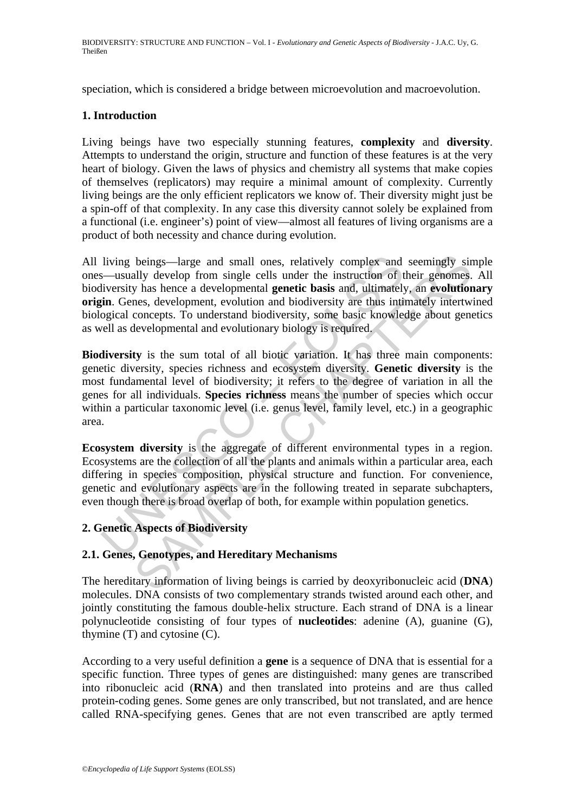speciation, which is considered a bridge between microevolution and macroevolution.

#### **1. Introduction**

Living beings have two especially stunning features, **complexity** and **diversity**. Attempts to understand the origin, structure and function of these features is at the very heart of biology. Given the laws of physics and chemistry all systems that make copies of themselves (replicators) may require a minimal amount of complexity. Currently living beings are the only efficient replicators we know of. Their diversity might just be a spin-off of that complexity. In any case this diversity cannot solely be explained from a functional (i.e. engineer's) point of view—almost all features of living organisms are a product of both necessity and chance during evolution.

living beings—large and small ones, relatively complex and<br>s—usually develop from single cells under the instruction of t<br>iversity has hence a developmental **genetic basis** and, ultimately<br>in. Genes, development, evolution beings—large and small ones, relatively complex and seemingly sirely develop from single cells under the instruction of their genomes, has hence a developmental genetic basis and, ultimately, are volution mes, development, All living beings—large and small ones, relatively complex and seemingly simple ones—usually develop from single cells under the instruction of their genomes. All biodiversity has hence a developmental **genetic basis** and, ultimately, an **evolutionary origin**. Genes, development, evolution and biodiversity are thus intimately intertwined biological concepts. To understand biodiversity, some basic knowledge about genetics as well as developmental and evolutionary biology is required.

**Biodiversity** is the sum total of all biotic variation. It has three main components: genetic diversity, species richness and ecosystem diversity. **Genetic diversity** is the most fundamental level of biodiversity; it refers to the degree of variation in all the genes for all individuals. **Species richness** means the number of species which occur within a particular taxonomic level (i.e. genus level, family level, etc.) in a geographic area.

**Ecosystem diversity** is the aggregate of different environmental types in a region. Ecosystems are the collection of all the plants and animals within a particular area, each differing in species composition, physical structure and function. For convenience, genetic and evolutionary aspects are in the following treated in separate subchapters, even though there is broad overlap of both, for example within population genetics.

#### **2. Genetic Aspects of Biodiversity**

#### **2.1. Genes, Genotypes, and Hereditary Mechanisms**

The hereditary information of living beings is carried by deoxyribonucleic acid (**DNA**) molecules. DNA consists of two complementary strands twisted around each other, and jointly constituting the famous double-helix structure. Each strand of DNA is a linear polynucleotide consisting of four types of **nucleotides**: adenine (A), guanine (G), thymine (T) and cytosine (C).

According to a very useful definition a **gene** is a sequence of DNA that is essential for a specific function. Three types of genes are distinguished: many genes are transcribed into ribonucleic acid (**RNA**) and then translated into proteins and are thus called protein-coding genes. Some genes are only transcribed, but not translated, and are hence called RNA-specifying genes. Genes that are not even transcribed are aptly termed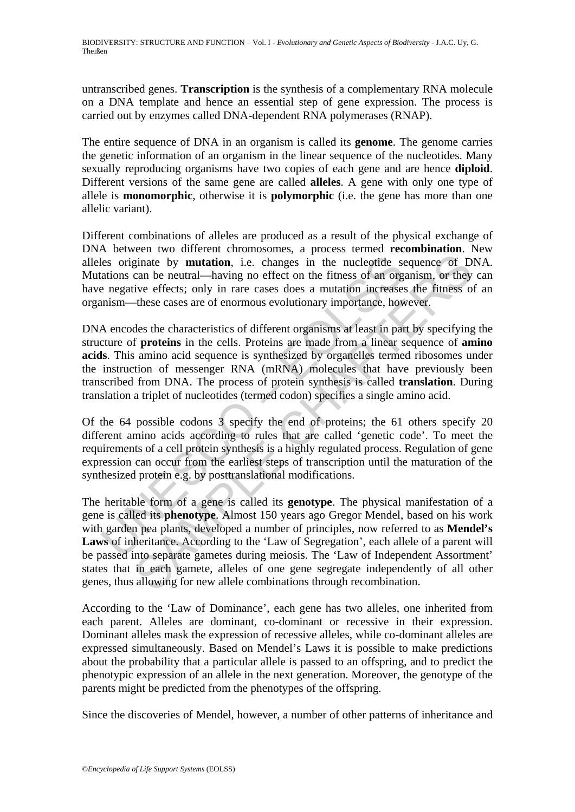untranscribed genes. **Transcription** is the synthesis of a complementary RNA molecule on a DNA template and hence an essential step of gene expression. The process is carried out by enzymes called DNA-dependent RNA polymerases (RNAP).

The entire sequence of DNA in an organism is called its **genome**. The genome carries the genetic information of an organism in the linear sequence of the nucleotides. Many sexually reproducing organisms have two copies of each gene and are hence **diploid**. Different versions of the same gene are called **alleles**. A gene with only one type of allele is **monomorphic**, otherwise it is **polymorphic** (i.e. the gene has more than one allelic variant).

Different combinations of alleles are produced as a result of the physical exchange of DNA between two different chromosomes, a process termed **recombination**. New alleles originate by **mutation**, i.e. changes in the nucleotide sequence of DNA. Mutations can be neutral—having no effect on the fitness of an organism, or they can have negative effects; only in rare cases does a mutation increases the fitness of an organism—these cases are of enormous evolutionary importance, however.

les originate by **mutation**, i.e. changes in the nucleotide secutions can be neutral—having no effect on the fitness of an orge negative effects; only in rare cases does a mutation increases mism—these cases are of enormou DNA encodes the characteristics of different organisms at least in part by specifying the structure of **proteins** in the cells. Proteins are made from a linear sequence of **amino acids**. This amino acid sequence is synthesized by organelles termed ribosomes under the instruction of messenger RNA (mRNA) molecules that have previously been transcribed from DNA. The process of protein synthesis is called **translation**. During translation a triplet of nucleotides (termed codon) specifies a single amino acid.

Of the 64 possible codons 3 specify the end of proteins; the 61 others specify 20 different amino acids according to rules that are called 'genetic code'. To meet the requirements of a cell protein synthesis is a highly regulated process. Regulation of gene expression can occur from the earliest steps of transcription until the maturation of the synthesized protein e.g. by posttranslational modifications.

From the universal environmental environmental environmental environmental environmental environmental engine engine engine engine engine engine engine engine engine engine engine engine engine engine engine engine engine The heritable form of a gene is called its **genotype**. The physical manifestation of a gene is called its **phenotype**. Almost 150 years ago Gregor Mendel, based on his work with garden pea plants, developed a number of principles, now referred to as **Mendel's Laws** of inheritance. According to the 'Law of Segregation', each allele of a parent will be passed into separate gametes during meiosis. The 'Law of Independent Assortment' states that in each gamete, alleles of one gene segregate independently of all other genes, thus allowing for new allele combinations through recombination.

According to the 'Law of Dominance', each gene has two alleles, one inherited from each parent. Alleles are dominant, co-dominant or recessive in their expression. Dominant alleles mask the expression of recessive alleles, while co-dominant alleles are expressed simultaneously. Based on Mendel's Laws it is possible to make predictions about the probability that a particular allele is passed to an offspring, and to predict the phenotypic expression of an allele in the next generation. Moreover, the genotype of the parents might be predicted from the phenotypes of the offspring.

Since the discoveries of Mendel, however, a number of other patterns of inheritance and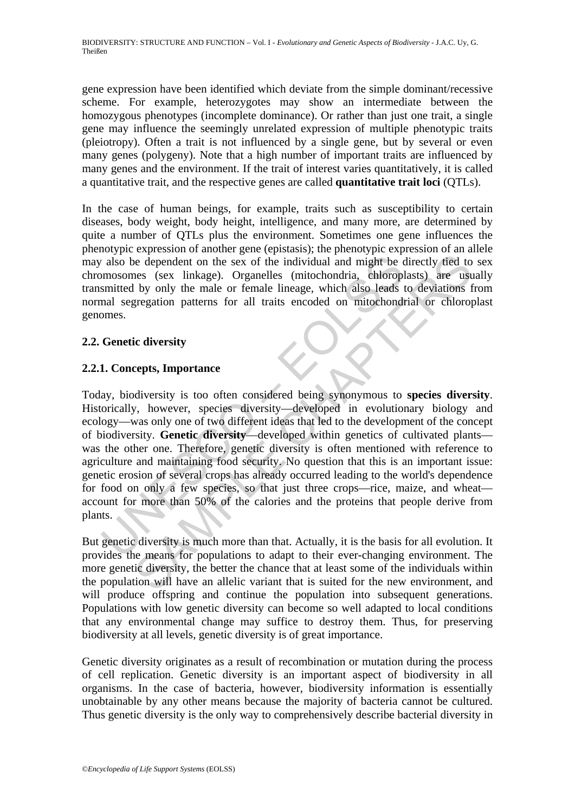gene expression have been identified which deviate from the simple dominant/recessive scheme. For example, heterozygotes may show an intermediate between the homozygous phenotypes (incomplete dominance). Or rather than just one trait, a single gene may influence the seemingly unrelated expression of multiple phenotypic traits (pleiotropy). Often a trait is not influenced by a single gene, but by several or even many genes (polygeny). Note that a high number of important traits are influenced by many genes and the environment. If the trait of interest varies quantitatively, it is called a quantitative trait, and the respective genes are called **quantitative trait loci** (QTLs).

In the case of human beings, for example, traits such as susceptibility to certain diseases, body weight, body height, intelligence, and many more, are determined by quite a number of QTLs plus the environment. Sometimes one gene influences the phenotypic expression of another gene (epistasis); the phenotypic expression of an allele may also be dependent on the sex of the individual and might be directly tied to sex chromosomes (sex linkage). Organelles (mitochondria, chloroplasts) are usually transmitted by only the male or female lineage, which also leads to deviations from normal segregation patterns for all traits encoded on mitochondrial or chloroplast genomes.

### **2.2. Genetic diversity**

### **2.2.1. Concepts, Importance**

Figure 1.1 and the sex of the individual and might be composed (sex linkage). Organelles (mitochondria, chloroply smitted by only the male or female lineage, which also leads is mal segregation patterns for all traits enc From the sex of the individual and might be directly fied to<br>exerge the dependent on the sex of the individual and might be directly fied to<br>nes (sex linkage). Organelles (mitochondria, chloroplasts) are use<br>by only the ma Today, biodiversity is too often considered being synonymous to **species diversity**. Historically, however, species diversity—developed in evolutionary biology and ecology—was only one of two different ideas that led to the development of the concept of biodiversity. **Genetic diversity**—developed within genetics of cultivated plants was the other one. Therefore, genetic diversity is often mentioned with reference to agriculture and maintaining food security. No question that this is an important issue: genetic erosion of several crops has already occurred leading to the world's dependence for food on only a few species, so that just three crops—rice, maize, and wheat account for more than 50% of the calories and the proteins that people derive from plants.

But genetic diversity is much more than that. Actually, it is the basis for all evolution. It provides the means for populations to adapt to their ever-changing environment. The more genetic diversity, the better the chance that at least some of the individuals within the population will have an allelic variant that is suited for the new environment, and will produce offspring and continue the population into subsequent generations. Populations with low genetic diversity can become so well adapted to local conditions that any environmental change may suffice to destroy them. Thus, for preserving biodiversity at all levels, genetic diversity is of great importance.

Genetic diversity originates as a result of recombination or mutation during the process of cell replication. Genetic diversity is an important aspect of biodiversity in all organisms. In the case of bacteria, however, biodiversity information is essentially unobtainable by any other means because the majority of bacteria cannot be cultured. Thus genetic diversity is the only way to comprehensively describe bacterial diversity in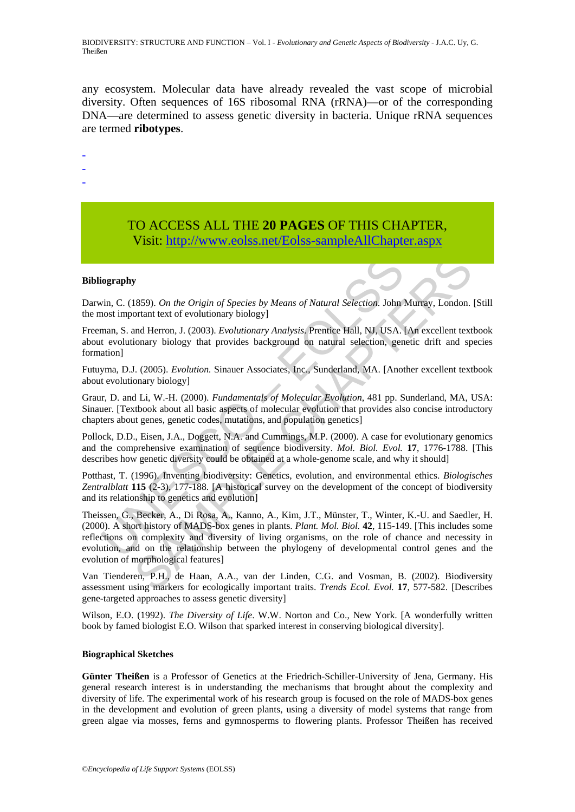any ecosystem. Molecular data have already revealed the vast scope of microbial diversity. Often sequences of 16S ribosomal RNA (rRNA)—or of the corresponding DNA—are determined to assess genetic diversity in bacteria. Unique rRNA sequences are termed **ribotypes**.

-

- -
- -

## TO ACCESS ALL THE **20 PAGES** OF THIS CHAPTER, Visi[t: http://www.eolss.net/Eolss-sampleAllChapter.aspx](https://www.eolss.net/ebooklib/sc_cart.aspx?File=E4-27-04)

#### **Bibliography**

Darwin, C. (1859). *On the Origin of Species by Means of Natural Selection*. John Murray, London. [Still the most important text of evolutionary biology]

Freeman, S. and Herron, J. (2003). *Evolutionary Analysis*. Prentice Hall, NJ, USA. [An excellent textbook about evolutionary biology that provides background on natural selection, genetic drift and species formation]

Futuyma, D.J. (2005). *Evolution.* Sinauer Associates, Inc., Sunderland, MA. [Another excellent textbook about evolutionary biology]

Graur, D. and Li, W.-H. (2000). *Fundamentals of Molecular Evolution*, 481 pp. Sunderland, MA, USA: Sinauer. [Textbook about all basic aspects of molecular evolution that provides also concise introductory chapters about genes, genetic codes, mutations, and population genetics]

Pollock, D.D., Eisen, J.A., Doggett, N.A. and Cummings, M.P. (2000). A case for evolutionary genomics and the comprehensive examination of sequence biodiversity. *Mol. Biol. Evol.* **17**, 1776-1788. [This describes how genetic diversity could be obtained at a whole-genome scale, and why it should]

Potthast, T. (1996). Inventing biodiversity: Genetics, evolution, and environmental ethics. *Biologisches Zentralblatt* **115** (2-3), 177-188. [A historical survey on the development of the concept of biodiversity and its relationship to genetics and evolution]

**iography**<br>
win, C. (1859). *On the Origin of Species by Means of Natural Selection*. John loost important text of evolutionary biology]<br>
man, S. and Herron, J. (2003). *Evolutionary Analysis*. Prentice Hall, NJ, USA, t ev **y**<br>
1859). *On the Origin of Species by Means of Natural Selection*. John Murray, London.<br>
1859). *On the Origin of Species by Means of Natural Selection*. John Murray, London.<br>
Ind Herron, J. (2003). *Evolutionary Analy* Theissen, G., Becker, A., Di Rosa, A., Kanno, A., Kim, J.T., Münster, T., Winter, K.-U. and Saedler, H. (2000). A short history of MADS-box genes in plants. *Plant. Mol. Biol.* **42**, 115-149. [This includes some reflections on complexity and diversity of living organisms, on the role of chance and necessity in evolution, and on the relationship between the phylogeny of developmental control genes and the evolution of morphological features]

Van Tienderen, P.H., de Haan, A.A., van der Linden, C.G. and Vosman, B. (2002). Biodiversity assessment using markers for ecologically important traits. *Trends Ecol. Evol.* **17**, 577-582. [Describes gene-targeted approaches to assess genetic diversity]

Wilson, E.O. (1992). *The Diversity of Life*. W.W. Norton and Co., New York. [A wonderfully written book by famed biologist E.O. Wilson that sparked interest in conserving biological diversity].

#### **Biographical Sketches**

**Günter Theißen** is a Professor of Genetics at the Friedrich-Schiller-University of Jena, Germany. His general research interest is in understanding the mechanisms that brought about the complexity and diversity of life. The experimental work of his research group is focused on the role of MADS-box genes in the development and evolution of green plants, using a diversity of model systems that range from green algae via mosses, ferns and gymnosperms to flowering plants. Professor Theißen has received